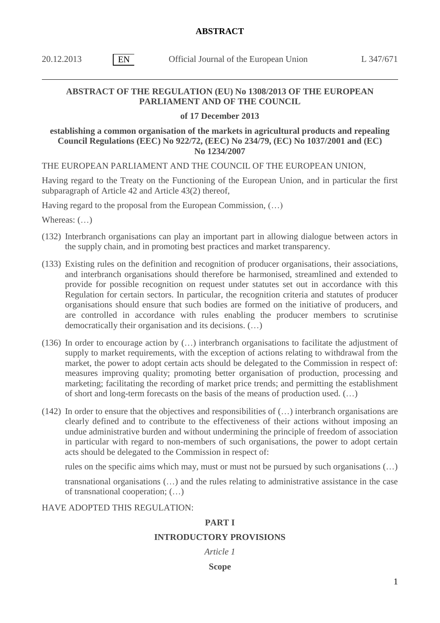# **ABSTRACT OF THE REGULATION (EU) No 1308/2013 OF THE EUROPEAN PARLIAMENT AND OF THE COUNCIL**

#### **of 17 December 2013**

### **establishing a common organisation of the markets in agricultural products and repealing Council Regulations (EEC) No 922/72, (EEC) No 234/79, (EC) No 1037/2001 and (EC) No 1234/2007**

THE EUROPEAN PARLIAMENT AND THE COUNCIL OF THE EUROPEAN UNION,

Having regard to the Treaty on the Functioning of the European Union, and in particular the first subparagraph of Article 42 and Article 43(2) thereof,

Having regard to the proposal from the European Commission, (…)

Whereas: (…)

- (132) Interbranch organisations can play an important part in allowing dialogue between actors in the supply chain, and in promoting best practices and market transparency.
- (133) Existing rules on the definition and recognition of producer organisations, their associations, and interbranch organisations should therefore be harmonised, streamlined and extended to provide for possible recognition on request under statutes set out in accordance with this Regulation for certain sectors. In particular, the recognition criteria and statutes of producer organisations should ensure that such bodies are formed on the initiative of producers, and are controlled in accordance with rules enabling the producer members to scrutinise democratically their organisation and its decisions. (…)
- (136) In order to encourage action by (…) interbranch organisations to facilitate the adjustment of supply to market requirements, with the exception of actions relating to withdrawal from the market, the power to adopt certain acts should be delegated to the Commission in respect of: measures improving quality; promoting better organisation of production, processing and marketing; facilitating the recording of market price trends; and permitting the establishment of short and long-term forecasts on the basis of the means of production used. (…)
- (142) In order to ensure that the objectives and responsibilities of (…) interbranch organisations are clearly defined and to contribute to the effectiveness of their actions without imposing an undue administrative burden and without undermining the principle of freedom of association in particular with regard to non-members of such organisations, the power to adopt certain acts should be delegated to the Commission in respect of:

rules on the specific aims which may, must or must not be pursued by such organisations (…)

transnational organisations (…) and the rules relating to administrative assistance in the case of transnational cooperation; (…)

HAVE ADOPTED THIS REGULATION:

# **PART I**

### **INTRODUCTORY PROVISIONS**

*Article 1*

**Scope**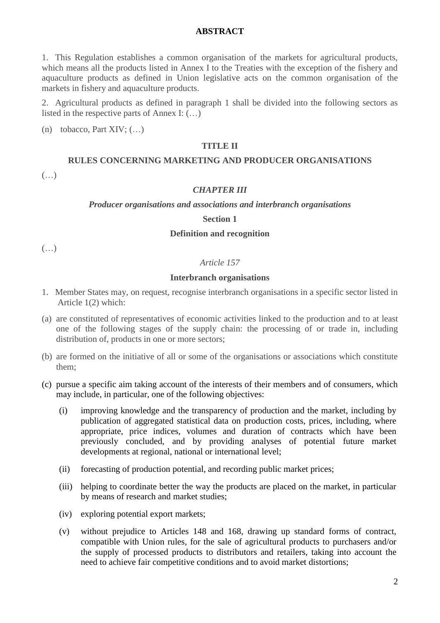1. This Regulation establishes a common organisation of the markets for agricultural products, which means all the products listed in Annex I to the Treaties with the exception of the fishery and aquaculture products as defined in Union legislative acts on the common organisation of the markets in fishery and aquaculture products.

2. Agricultural products as defined in paragraph 1 shall be divided into the following sectors as listed in the respective parts of Annex I: (…)

(n) tobacco, Part XIV;  $(...)$ 

### **TITLE II**

# **RULES CONCERNING MARKETING AND PRODUCER ORGANISATIONS**

 $(\ldots)$ 

# *CHAPTER III*

### *Producer organisations and associations and interbranch organisations*

### **Section 1**

### **Definition and recognition**

 $(\ldots)$ 

# *Article 157*

#### **Interbranch organisations**

- 1. Member States may, on request, recognise interbranch organisations in a specific sector listed in Article 1(2) which:
- (a) are constituted of representatives of economic activities linked to the production and to at least one of the following stages of the supply chain: the processing of or trade in, including distribution of, products in one or more sectors;
- (b) are formed on the initiative of all or some of the organisations or associations which constitute them;
- (c) pursue a specific aim taking account of the interests of their members and of consumers, which may include, in particular, one of the following objectives:
	- (i) improving knowledge and the transparency of production and the market, including by publication of aggregated statistical data on production costs, prices, including, where appropriate, price indices, volumes and duration of contracts which have been previously concluded, and by providing analyses of potential future market developments at regional, national or international level;
	- (ii) forecasting of production potential, and recording public market prices;
	- (iii) helping to coordinate better the way the products are placed on the market, in particular by means of research and market studies;
	- (iv) exploring potential export markets;
	- (v) without prejudice to Articles 148 and 168, drawing up standard forms of contract, compatible with Union rules, for the sale of agricultural products to purchasers and/or the supply of processed products to distributors and retailers, taking into account the need to achieve fair competitive conditions and to avoid market distortions;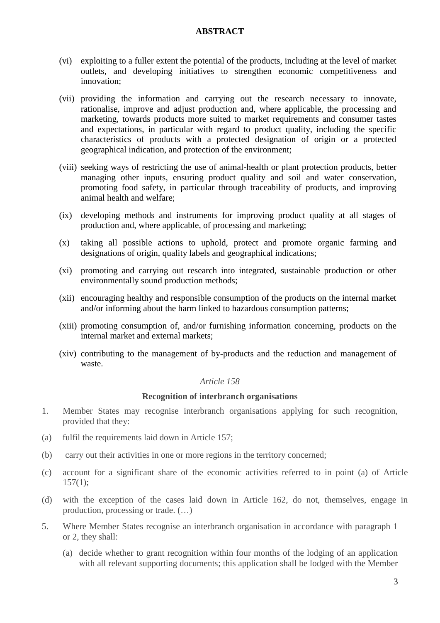- (vi) exploiting to a fuller extent the potential of the products, including at the level of market outlets, and developing initiatives to strengthen economic competitiveness and innovation;
- (vii) providing the information and carrying out the research necessary to innovate, rationalise, improve and adjust production and, where applicable, the processing and marketing, towards products more suited to market requirements and consumer tastes and expectations, in particular with regard to product quality, including the specific characteristics of products with a protected designation of origin or a protected geographical indication, and protection of the environment;
- (viii) seeking ways of restricting the use of animal-health or plant protection products, better managing other inputs, ensuring product quality and soil and water conservation, promoting food safety, in particular through traceability of products, and improving animal health and welfare;
- (ix) developing methods and instruments for improving product quality at all stages of production and, where applicable, of processing and marketing;
- (x) taking all possible actions to uphold, protect and promote organic farming and designations of origin, quality labels and geographical indications;
- (xi) promoting and carrying out research into integrated, sustainable production or other environmentally sound production methods;
- (xii) encouraging healthy and responsible consumption of the products on the internal market and/or informing about the harm linked to hazardous consumption patterns;
- (xiii) promoting consumption of, and/or furnishing information concerning, products on the internal market and external markets;
- (xiv) contributing to the management of by-products and the reduction and management of waste.

### *Article 158*

#### **Recognition of interbranch organisations**

- 1. Member States may recognise interbranch organisations applying for such recognition, provided that they:
- (a) fulfil the requirements laid down in Article 157;
- (b) carry out their activities in one or more regions in the territory concerned;
- (c) account for a significant share of the economic activities referred to in point (a) of Article  $157(1);$
- (d) with the exception of the cases laid down in Article 162, do not, themselves, engage in production, processing or trade. (…)
- 5. Where Member States recognise an interbranch organisation in accordance with paragraph 1 or 2, they shall:
	- (a) decide whether to grant recognition within four months of the lodging of an application with all relevant supporting documents; this application shall be lodged with the Member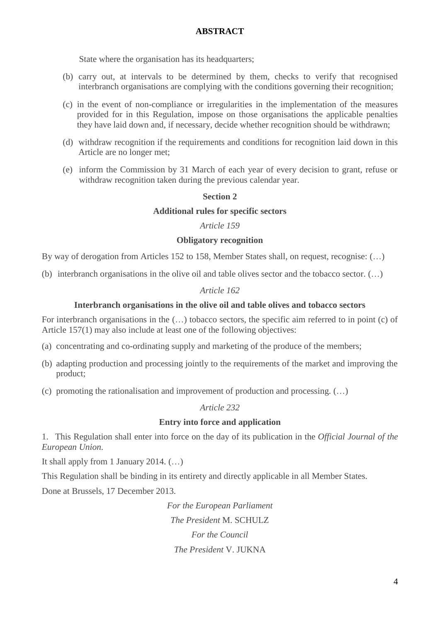State where the organisation has its headquarters;

- (b) carry out, at intervals to be determined by them, checks to verify that recognised interbranch organisations are complying with the conditions governing their recognition;
- (c) in the event of non-compliance or irregularities in the implementation of the measures provided for in this Regulation, impose on those organisations the applicable penalties they have laid down and, if necessary, decide whether recognition should be withdrawn;
- (d) withdraw recognition if the requirements and conditions for recognition laid down in this Article are no longer met;
- (e) inform the Commission by 31 March of each year of every decision to grant, refuse or withdraw recognition taken during the previous calendar year.

# **Section 2**

# **Additional rules for specific sectors**

### *Article 159*

# **Obligatory recognition**

By way of derogation from Articles 152 to 158, Member States shall, on request, recognise: (…)

(b) interbranch organisations in the olive oil and table olives sector and the tobacco sector. (…)

# *Article 162*

# **Interbranch organisations in the olive oil and table olives and tobacco sectors**

For interbranch organisations in the (…) tobacco sectors, the specific aim referred to in point (c) of Article 157(1) may also include at least one of the following objectives:

- (a) concentrating and co-ordinating supply and marketing of the produce of the members;
- (b) adapting production and processing jointly to the requirements of the market and improving the product;
- (c) promoting the rationalisation and improvement of production and processing. (…)

# *Article 232*

### **Entry into force and application**

1. This Regulation shall enter into force on the day of its publication in the *Official Journal of the European Union*.

It shall apply from 1 January 2014.  $($ ...)

This Regulation shall be binding in its entirety and directly applicable in all Member States.

Done at Brussels, 17 December 2013.

*For the European Parliament The President* M. SCHULZ *For the Council The President* V. JUKNA